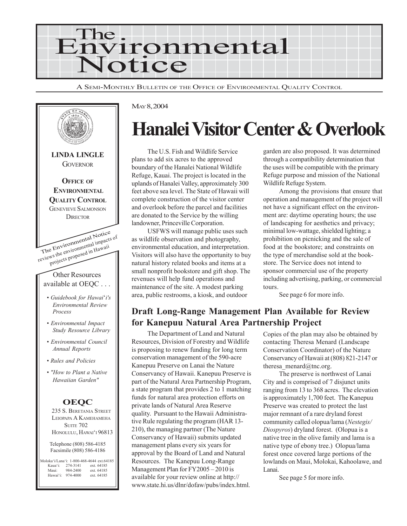

A SEMI-MONTHLY BULLETIN OF THE OFFICE OF ENVIRONMENTAL QUALITY CONTROL



#### MAY 8, 2004

# **Hanalei Visitor Center & Overlook**

The U.S. Fish and Wildlife Service plans to add six acres to the approved boundary of the Hanalei National Wildlife Refuge, Kauai. The project is located in the uplands of Hanalei Valley, approximately 300 feet above sea level. The State of Hawaii will complete construction of the visitor center and overlook before the parcel and facilities are donated to the Service by the willing landowner, Princeville Corporation.

USFWS will manage public uses such as wildlife observation and photography, environmental education, and interpretation. Visitors will also have the opportunity to buy natural history related books and items at a small nonprofit bookstore and gift shop. The revenues will help fund operations and maintenance of the site. A modest parking area, public restrooms, a kiosk, and outdoor

garden are also proposed. It was determined through a compatibility determination that the uses will be compatible with the primary Refuge purpose and mission of the National Wildlife Refuge System.

Among the provisions that ensure that operation and management of the project will not have a significant effect on the environment are: daytime operating hours; the use of landscaping for aesthetics and privacy; minimal low-wattage, shielded lighting; a prohibition on picnicking and the sale of food at the bookstore; and constraints on the type of merchandise sold at the bookstore. The Service does not intend to sponsor commercial use of the property including advertising, parking, or commercial tours.

See page 6 for more info.

# **Draft Long-Range Management Plan Available for Review for Kanepuu Natural Area Partnership Project**

The Department of Land and Natural Resources, Division of Forestry and Wildlife is proposing to renew funding for long term conservation management of the 590-acre Kanepuu Preserve on Lanai the Nature Conservancy of Hawaii. Kanepuu Preserve is part of the Natural Area Partnership Program, a state program that provides 2 to 1 matching funds for natural area protection efforts on private lands of Natural Area Reserve quality. Pursuant to the Hawaii Administrative Rule regulating the program (HAR 13- 210), the managing partner (The Nature Conservancy of Hawaii) submits updated management plans every six years for approval by the Board of Land and Natural Resources. The Kanepuu Long-Range Management Plan for FY2005 – 2010 is available for your review online at http:// www.state.hi.us/dlnr/dofaw/pubs/index.html.

Copies of the plan may also be obtained by contacting Theresa Menard (Landscape Conservation Coordinator) of the Nature Conservancy of Hawaii at (808) 821-2147 or theresa menard $@$ tnc.org.

The preserve is northwest of Lanai City and is comprised of 7 disjunct units ranging from 13 to 368 acres. The elevation is approximately 1,700 feet. The Kanepuu Preserve was created to protect the last major remnant of a rare dryland forest community called olopua/lama (*Nestegis/ Diospyros*) dryland forest. (Olopua is a native tree in the olive family and lama is a native type of ebony tree.) Olopua/lama forest once covered large portions of the lowlands on Maui, Molokai, Kahoolawe, and Lanai.

See page 5 for more info.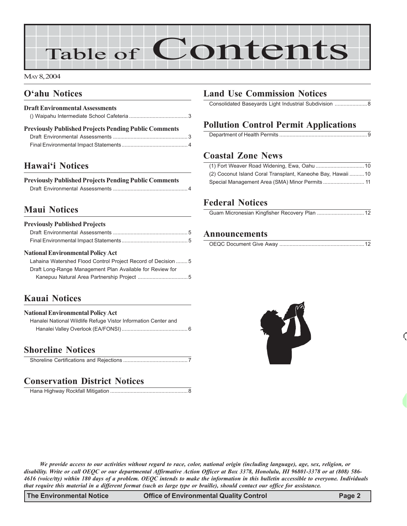# Table of Contents

MAY 8, 2004

# **O'ahu Notices**

| <b>Draft Environmental Assessments</b>                       |  |  |
|--------------------------------------------------------------|--|--|
|                                                              |  |  |
| <b>Previously Published Projects Pending Public Comments</b> |  |  |
|                                                              |  |  |

Final Environmental Impact Statements............................................. 4

# **Hawai'i Notices**

| <b>Previously Published Projects Pending Public Comments</b> |  |
|--------------------------------------------------------------|--|
|                                                              |  |

# **Maui Notices**

| <b>Previously Published Projects</b> |  |  |
|--------------------------------------|--|--|
|                                      |  |  |
|                                      |  |  |

#### **National Environmental Policy Act**

| Lahaina Watershed Flood Control Project Record of Decision  5 |
|---------------------------------------------------------------|
| Draft Long-Range Management Plan Available for Review for     |
|                                                               |
|                                                               |

# **Kauai Notices**

| <b>National Environmental Policy Act</b>                       |  |  |  |
|----------------------------------------------------------------|--|--|--|
| Hanalei National Wildlife Refuge Vistor Information Center and |  |  |  |
|                                                                |  |  |  |

#### **Shoreline Notices**

# **Conservation District Notices**

Hana Highway Rockfall Mitigation .....................................................8

# **Land Use Commission Notices**

Consolidated Baseyards Light Industrial Subdivision ......................8

# **Pollution Control Permit Applications**

|--|

# **Coastal Zone News**

| (2) Coconut Island Coral Transplant, Kaneohe Bay, Hawaii 10 |  |
|-------------------------------------------------------------|--|
|                                                             |  |

# **Federal Notices**

#### **Announcements**

|--|



*We provide access to our activities without regard to race, color, national origin (including language), age, sex, religion, or disability. Write or call OEQC or our departmental Affirmative Action Officer at Box 3378, Honolulu, HI 96801-3378 or at (808) 586- 4616 (voice/tty) within 180 days of a problem. OEQC intends to make the information in this bulletin accessible to everyone. Individuals that require this material in a different format (such as large type or braille), should contact our office for assistance.*

**The Environmental Notice Office of Environmental Quality Control Page 2**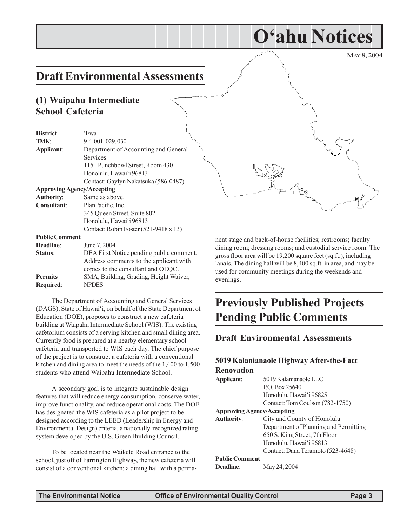# **Draft Environmental Assessments**

#### **(1) Waipahu Intermediate School Cafeteria**

| District:                         | 'Ewa                                     |  |  |
|-----------------------------------|------------------------------------------|--|--|
| TMK:                              | 9-4-001:029,030                          |  |  |
| Applicant:                        | Department of Accounting and General     |  |  |
|                                   | Services                                 |  |  |
|                                   | 1151 Punchbowl Street, Room 430          |  |  |
|                                   | Honolulu, Hawai'i 96813                  |  |  |
|                                   | Contact: Gaylyn Nakatsuka (586-0487)     |  |  |
| <b>Approving Agency/Accepting</b> |                                          |  |  |
| <b>Authority:</b>                 | Same as above.                           |  |  |
| <b>Consultant:</b>                | PlanPacific, Inc.                        |  |  |
|                                   | 345 Oueen Street, Suite 802              |  |  |
|                                   | Honolulu, Hawai'i 96813                  |  |  |
|                                   | Contact: Robin Foster (521-9418 x 13)    |  |  |
| <b>Public Comment</b>             |                                          |  |  |
| <b>Deadline:</b>                  | June 7, 2004                             |  |  |
| Status:                           | DEA First Notice pending public comment. |  |  |
|                                   | Address comments to the applicant with   |  |  |
|                                   | copies to the consultant and OEQC.       |  |  |
| <b>Permits</b>                    | SMA, Building, Grading, Height Waiver,   |  |  |
| Required:                         | <b>NPDES</b>                             |  |  |

The Department of Accounting and General Services (DAGS), State of Hawai'i, on behalf of the State Department of Education (DOE), proposes to construct a new cafeteria building at Waipahu Intermediate School (WIS). The existing cafetorium consists of a serving kitchen and small dining area. Currently food is prepared at a nearby elementary school cafeteria and transported to WIS each day. The chief purpose of the project is to construct a cafeteria with a conventional kitchen and dining area to meet the needs of the 1,400 to 1,500 students who attend Waipahu Intermediate School.

A secondary goal is to integrate sustainable design features that will reduce energy consumption, conserve water, improve functionality, and reduce operational costs. The DOE has designated the WIS cafeteria as a pilot project to be designed according to the LEED (Leadership in Energy and Environmental Design) criteria, a nationally-recognized rating system developed by the U.S. Green Building Council.

To be located near the Waikele Road entrance to the school, just off of Farrington Highway, the new cafeteria will consist of a conventional kitchen; a dining hall with a perma-



**O'ahu Notices**

nent stage and back-of-house facilities; restrooms; faculty dining room; dressing rooms; and custodial service room. The gross floor area will be 19,200 square feet (sq.ft.), including lanais. The dining hall will be 8,400 sq.ft. in area, and may be used for community meetings during the weekends and evenings.

# **Previously Published Projects Pending Public Comments**

#### **Draft Environmental Assessments**

#### **5019 Kalanianaole Highway After-the-Fact Renovation**

| Applicant:                        | 5019 Kalanianaole LLC                 |  |  |  |
|-----------------------------------|---------------------------------------|--|--|--|
|                                   | PO Box 25640                          |  |  |  |
|                                   | Honolulu, Hawai'i 96825               |  |  |  |
|                                   | Contact: Tom Coulson (782-1750)       |  |  |  |
| <b>Approving Agency/Accepting</b> |                                       |  |  |  |
| <b>Authority:</b>                 | City and County of Honolulu           |  |  |  |
|                                   | Department of Planning and Permitting |  |  |  |
|                                   | 650 S. King Street, 7th Floor         |  |  |  |
|                                   | Honolulu, Hawai'i 96813               |  |  |  |
|                                   | Contact: Dana Teramoto (523-4648)     |  |  |  |
| <b>Public Comment</b>             |                                       |  |  |  |
| <b>Deadline:</b>                  | May 24, 2004                          |  |  |  |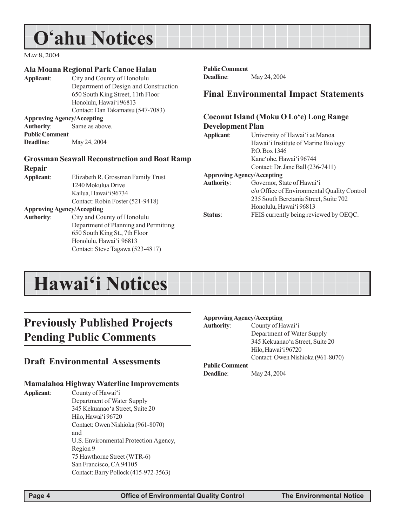# **O'ahu Notices**

MAY 8, 2004

#### **Ala Moana Regional Park Canoe Halau**

**Applicant**: City and County of Honolulu Department of Design and Construction 650 South King Street, 11th Floor Honolulu, Hawai'i 96813 Contact: Dan Takamatsu (547-7083) **Approving Agency/Accepting Authority**: Same as above.

**Public Comment Deadline**: May 24, 2004

#### **Grossman Seawall Reconstruction and Boat Ramp Repair**

**Applicant**: Elizabeth R. Grossman Family Trust 1240 Mokulua Drive Kailua, Hawai'i 96734 Contact: Robin Foster (521-9418)

#### **Approving Agency/Accepting**

**Authority**: City and County of Honolulu Department of Planning and Permitting 650 South King St., 7th Floor Honolulu, Hawai'i 96813 Contact: Steve Tagawa (523-4817)

# **Public Comment**

**Deadline**: May 24, 2004

#### **Final Environmental Impact Statements**

#### **Coconut Island (Moku O Lo'e) Long Range Development Plan**

**Applicant**: University of Hawai'i at Manoa

Hawai'i Institute of Marine Biology P.O. Box 1346 Kane'ohe, Hawai'i 96744 Contact: Dr. Jane Ball (236-7411)

#### **Approving Agency/Accepting**

| <b>Authority:</b> | Governor, State of Hawai'i                  |
|-------------------|---------------------------------------------|
|                   | c/o Office of Environmental Quality Control |
|                   | 235 South Beretania Street, Suite 702       |
|                   | Honolulu, Hawai'i 96813                     |
| Status:           | FEIS currently being reviewed by OEQC.      |

# **Hawai'i Notices**

# **Previously Published Projects Pending Public Comments**

#### **Draft Environmental Assessments**

#### **Mamalahoa Highway Waterline Improvements**

**Applicant**: County of Hawai'i

Department of Water Supply 345 Kekuanao'a Street, Suite 20 Hilo, Hawai'i 96720 Contact: Owen Nishioka (961-8070) and U.S. Environmental Protection Agency, Region 9 75 Hawthorne Street (WTR-6) San Francisco, CA 94105 Contact: Barry Pollock (415-972-3563)

#### **Approving Agency/Accepting**

**Authority**: County of Hawai'i Department of Water Supply 345 Kekuanao'a Street, Suite 20 Hilo, Hawai'i 96720 Contact: Owen Nishioka (961-8070)

#### **Public Comment**

**Deadline**: May 24, 2004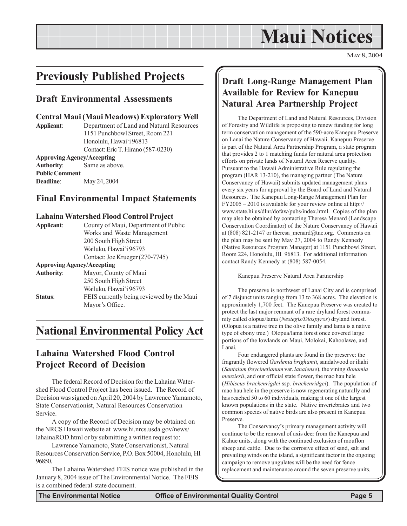# **Maui Notices**

MAY 8, 2004

# **Previously Published Projects**

#### **Draft Environmental Assessments**

#### **Central Maui (Maui Meadows) Exploratory Well**

**Applicant**: Department of Land and Natural Resources 1151 Punchbowl Street, Room 221 Honolulu, Hawai'i 96813 Contact: Eric T. Hirano (587-0230) **Approving Agency/Accepting**

**Authority**: Same as above. **Public Comment Deadline**: May 24, 2004

#### **Final Environmental Impact Statements**

#### **Lahaina Watershed Flood Control Project**

| Applicant:        | County of Maui, Department of Public      |
|-------------------|-------------------------------------------|
|                   | Works and Waste Management                |
|                   | 200 South High Street                     |
|                   | Wailuku, Hawai'i 96793                    |
|                   | Contact: Joe Krueger (270-7745)           |
|                   | <b>Approving Agency/Accepting</b>         |
| <b>Authority:</b> | Mayor, County of Maui                     |
|                   | 250 South High Street                     |
|                   | Wailuku, Hawai'i 96793                    |
| <b>Status:</b>    | FEIS currently being reviewed by the Maui |
|                   | Mavor's Office.                           |

# **National Environmental Policy Act**

#### **Lahaina Watershed Flood Control Project Record of Decision**

The federal Record of Decision for the Lahaina Watershed Flood Control Project has been issued. The Record of Decision was signed on April 20, 2004 by Lawrence Yamamoto, State Conservationist, Natural Resources Conservation Service.

A copy of the Record of Decision may be obtained on the NRCS Hawaii website at www.hi.nrcs.usda.gov/news/ lahainaROD.html or by submitting a written request to:

Lawrence Yamamoto, State Conservationist, Natural Resources Conservation Service, P.O. Box 50004, Honolulu, HI 96850.

The Lahaina Watershed FEIS notice was published in the January 8, 2004 issue of The Environmental Notice. The FEIS is a combined federal-state document.

### **Draft Long-Range Management Plan Available for Review for Kanepuu Natural Area Partnership Project**

The Department of Land and Natural Resources, Division of Forestry and Wildlife is proposing to renew funding for long term conservation management of the 590-acre Kanepuu Preserve on Lanai the Nature Conservancy of Hawaii. Kanepuu Preserve is part of the Natural Area Partnership Program, a state program that provides 2 to 1 matching funds for natural area protection efforts on private lands of Natural Area Reserve quality. Pursuant to the Hawaii Administrative Rule regulating the program (HAR 13-210), the managing partner (The Nature Conservancy of Hawaii) submits updated management plans every six years for approval by the Board of Land and Natural Resources. The Kanepuu Long-Range Management Plan for FY2005 – 2010 is available for your review online at http:// www.state.hi.us/dlnr/dofaw/pubs/index.html. Copies of the plan may also be obtained by contacting Theresa Menard (Landscape Conservation Coordinator) of the Nature Conservancy of Hawaii at (808) 821-2147 or theresa\_menard@tnc.org. Comments on the plan may be sent by May 27, 2004 to Randy Kennedy (Native Resources Program Manager) at 1151 Punchbowl Street, Room 224, Honolulu, HI 96813. For additional information contact Randy Kennedy at (808) 587-0054.

Kanepuu Preserve Natural Area Partnership

The preserve is northwest of Lanai City and is comprised of 7 disjunct units ranging from 13 to 368 acres. The elevation is approximately 1,700 feet. The Kanepuu Preserve was created to protect the last major remnant of a rare dryland forest community called olopua/lama (*Nestegis/Diospyros*) dryland forest. (Olopua is a native tree in the olive family and lama is a native type of ebony tree.) Olopua/lama forest once covered large portions of the lowlands on Maui, Molokai, Kahoolawe, and Lanai.

Four endangered plants are found in the preserve: the fragrantly flowered *Gardenia brighamii*, sandalwood or iliahi (*Santalum freycinetianum* var. *lanaiense*), the vining *Bonamia menziesii*, and our official state flower, the mao hau hele (*Hibiscus brackenrigdei* ssp. *brackenridgei*). The population of mao hau hele in the preserve is now regenerating naturally and has reached 50 to 60 individuals, making it one of the largest known populations in the state. Native invertebrates and two common species of native birds are also present in Kanepuu Preserve.

The Conservancy's primary management activity will continue to be the removal of axis deer from the Kanepuu and Kahue units, along with the continued exclusion of mouflon sheep and cattle. Due to the corrosive effect of sand, salt and prevailing winds on the island, a significant factor in the ongoing campaign to remove ungulates will be the need for fence replacement and maintenance around the seven preserve units.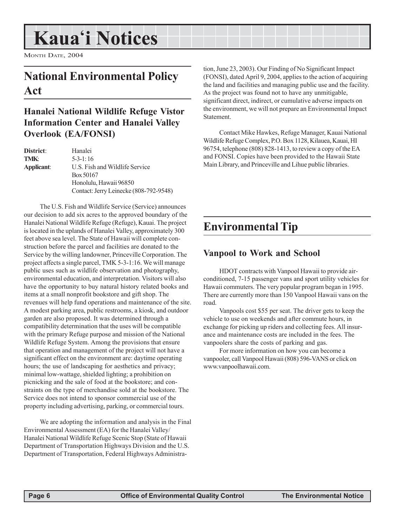# **Kaua'i Notices**

MONTH DATE, 2004

# **National Environmental Policy Act**

### **Hanalei National Wildlife Refuge Vistor Information Center and Hanalei Valley Overlook (EA/FONSI)**

| <b>District</b> : | Hanalei                                |
|-------------------|----------------------------------------|
| TMK:              | $5 - 3 - 1 : 16$                       |
| Applicant:        | U.S. Fish and Wildlife Service         |
|                   | Box 50167                              |
|                   | Honolulu, Hawaii 96850                 |
|                   | Contact: Jerry Leinecke (808-792-9548) |

The U.S. Fish and Wildlife Service (Service) announces our decision to add six acres to the approved boundary of the Hanalei National Wildlife Refuge (Refuge), Kauai. The project is located in the uplands of Hanalei Valley, approximately 300 feet above sea level. The State of Hawaii will complete construction before the parcel and facilities are donated to the Service by the willing landowner, Princeville Corporation. The project affects a single parcel, TMK 5-3-1:16. We will manage public uses such as wildlife observation and photography, environmental education, and interpretation. Visitors will also have the opportunity to buy natural history related books and items at a small nonprofit bookstore and gift shop. The revenues will help fund operations and maintenance of the site. A modest parking area, public restrooms, a kiosk, and outdoor garden are also proposed. It was determined through a compatibility determination that the uses will be compatible with the primary Refuge purpose and mission of the National Wildlife Refuge System. Among the provisions that ensure that operation and management of the project will not have a significant effect on the environment are: daytime operating hours; the use of landscaping for aesthetics and privacy; minimal low-wattage, shielded lighting; a prohibition on picnicking and the sale of food at the bookstore; and constraints on the type of merchandise sold at the bookstore. The Service does not intend to sponsor commercial use of the property including advertising, parking, or commercial tours.

We are adopting the information and analysis in the Final Environmental Assessment (EA) for the Hanalei Valley/ Hanalei National Wildlife Refuge Scenic Stop (State of Hawaii Department of Transportation Highways Division and the U.S. Department of Transportation, Federal Highways Administration, June 23, 2003). Our Finding of No Significant Impact (FONSI), dated April 9, 2004, applies to the action of acquiring the land and facilities and managing public use and the facility. As the project was found not to have any unmitigable, significant direct, indirect, or cumulative adverse impacts on the environment, we will not prepare an Environmental Impact Statement.

Contact Mike Hawkes, Refuge Manager, Kauai National Wildlife Refuge Complex, P.O. Box 1128, Kilauea, Kauai, HI 96754, telephone (808) 828-1413, to review a copy of the EA and FONSI. Copies have been provided to the Hawaii State Main Library, and Princeville and Lihue public libraries.

# **Environmental Tip**

### **Vanpool to Work and School**

HDOT contracts with Vanpool Hawaii to provide airconditioned, 7-15 passenger vans and sport utility vehicles for Hawaii commuters. The very popular program began in 1995. There are currently more than 150 Vanpool Hawaii vans on the road.

Vanpools cost \$55 per seat. The driver gets to keep the vehicle to use on weekends and after commute hours, in exchange for picking up riders and collecting fees. All insurance and maintenance costs are included in the fees. The vanpoolers share the costs of parking and gas.

For more information on how you can become a vanpooler, call Vanpool Hawaii (808) 596-VANS or click on www.vanpoolhawaii.com.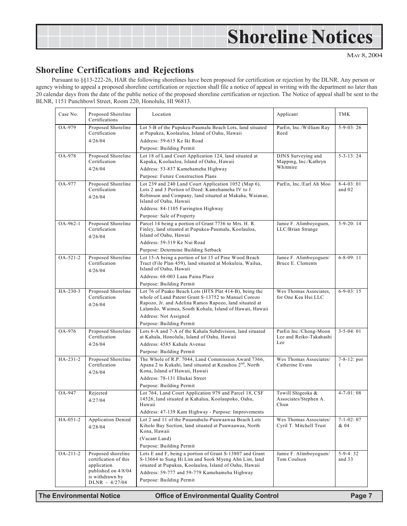# **Shoreline Notices**

MAY 8, 2004

### **Shoreline Certifications and Rejections**

Pursuant to §§13-222-26, HAR the following shorelines have been proposed for certification or rejection by the DLNR. Any person or agency wishing to appeal a proposed shoreline certification or rejection shall file a notice of appeal in writing with the department no later than 20 calendar days from the date of the public notice of the proposed shoreline certification or rejection. The Notice of appeal shall be sent to the BLNR, 1151 Punchbowl Street, Room 220, Honolulu, HI 96813.

| Case No.       | Proposed Shoreline<br>Certifications                       | Location                                                                                                                                                                                                                            | Applicant                                          | <b>TMK</b>              |
|----------------|------------------------------------------------------------|-------------------------------------------------------------------------------------------------------------------------------------------------------------------------------------------------------------------------------------|----------------------------------------------------|-------------------------|
| OA-979         | Proposed Shoreline<br>Certification                        | Lot 5-B of the Pupukea-Paumalu Beach Lots, land situated<br>at Pupukea, Koolauloa, Island of Oahu, Hawaii                                                                                                                           | ParEn, Inc./William Ray<br>Reed                    | $5-9-03:26$             |
|                | 4/26/04                                                    | Address: 59-615 Ke Iki Road                                                                                                                                                                                                         |                                                    |                         |
|                |                                                            | Purpose: Building Permit                                                                                                                                                                                                            |                                                    |                         |
| OA-978         | Proposed Shoreline<br>Certification                        | Lot 18 of Land Court Application 124, land situated at<br>Kapaka, Koolauloa, Island of Oahu, Hawaii                                                                                                                                 | DJNS Surveying and<br>Mapping, Inc./Kathryn        | $5 - 3 - 13$ : 24       |
|                | 4/26/04                                                    | Address: 53-837 Kamehameha Highway                                                                                                                                                                                                  | Whitmire                                           |                         |
|                |                                                            | Purpose: Future Construction Plans                                                                                                                                                                                                  |                                                    |                         |
| OA-977         | Proposed Shoreline<br>Certification<br>4/26/04             | Lot 239 and 240 Land Court Application 1052 (Map 6),<br>Lots 2 and 3 Portion of Deed: Kamehameha IV to J.<br>Robinson and Company, land situated at Makaha, Waianae,<br>Island of Oahu, Hawaii                                      | ParEn, Inc./Earl Ah Moo                            | $8-4-03:01$<br>and 02   |
|                |                                                            | Address: 84-1105 Farrington Highway                                                                                                                                                                                                 |                                                    |                         |
|                |                                                            | Purpose: Sale of Property                                                                                                                                                                                                           |                                                    |                         |
| OA-962-1       | Proposed Shoreline<br>Certification<br>4/26/04             | Parcel 14 being a portion of Grant 7736 to Mrs. H. R.<br>Finley, land situated at Pupukea-Paumalu, Koolauloa,<br>Island of Oahu, Hawaii                                                                                             | Jamie F. Alimboyoguen,<br>LLC/Brian Strange        | $5-9-20:14$             |
|                |                                                            | Address: 59-319 Ke Nui Road                                                                                                                                                                                                         |                                                    |                         |
|                |                                                            | Purpose: Determine Building Setback                                                                                                                                                                                                 |                                                    |                         |
| OA-521-2       | Proposed Shoreline<br>Certification<br>4/26/04             | Lot 15-A being a portion of lot 15 of Pine Wood Beach<br>Tract (File Plan 459), land situated at Mokuleia, Wailua,<br>Island of Oahu, Hawaii                                                                                        | Jamie F. Alimboyoguen/<br>Bruce E. Clements        | $6 - 8 - 09$ : 11       |
|                |                                                            | Address: 68-003 Laau Paina Place                                                                                                                                                                                                    |                                                    |                         |
|                |                                                            | Purpose: Building Permit                                                                                                                                                                                                            |                                                    |                         |
| HA-230-3       | Proposed Shoreline<br>Certification<br>4/26/04             | Lot 76 of Puako Beach Lots (HTS Plat 414-B), being the<br>whole of Land Patent Grant S-13752 to Manuel Corozo<br>Rapozo, Jr. and Adelina Ramos Rapozo, land situated at<br>Lalamilo, Waimea, South Kohala, Island of Hawaii, Hawaii | Wes Thomas Associates,<br>for One Kea Hui LLC      | $6-9-03:15$             |
|                |                                                            | Address: Not Assigned                                                                                                                                                                                                               |                                                    |                         |
|                |                                                            | Purpose: Building Permit                                                                                                                                                                                                            |                                                    |                         |
| OA-976         | Proposed Shoreline<br>Certification                        | Lots 6-A and 7-A of the Kahala Subdivision, land situated<br>at Kahala, Honolulu, Island of Oahu, Hawaii                                                                                                                            | ParEn Inc./Chong-Moon<br>Lee and Reiko-Takahashi   | $3 - 5 - 04:01$         |
|                | 4/26/04                                                    | Address: 4585 Kahala Avenue                                                                                                                                                                                                         | Lee                                                |                         |
|                |                                                            | Purpose: Building Permit                                                                                                                                                                                                            |                                                    |                         |
| HA-231-2       | Proposed Shoreline<br>Certification<br>4/26/04             | The Whole of R.P. 7044, Land Commission Award 7366,<br>Apana 2 to Kukahi, land situated at Keauhou 2 <sup>nd</sup> , North<br>Kona, Island of Hawaii, Hawaii                                                                        | Wes Thomas Associates/<br>Catherine Evans          | $7 - 8 - 12$ : por<br>1 |
|                |                                                            | Address: 78-131 Ehukai Street                                                                                                                                                                                                       |                                                    |                         |
|                |                                                            | Purpose: Building Permit                                                                                                                                                                                                            |                                                    |                         |
| OA-947         | Rejected<br>4/27/04                                        | Lot 764, Land Court Application 979 and Parcel 18, CSF<br>14526, land situated at Kahaluu, Koolaupoko, Oahu,<br>Hawaii                                                                                                              | Towill Shigeoka &<br>Associates/Stephen A.<br>Chun | $4 - 7 - 01:08$         |
|                |                                                            | Address: 47-139 Kam Highway - Purpose: Improvements                                                                                                                                                                                 |                                                    |                         |
| HA-051-2       | <b>Application Denied</b><br>4/28/04                       | Lot 2 and 11 of the Puuanahulu-Puuwaawaa Beach Lots<br>Kiholo Bay Section, land situated at Puuwaawaa, North<br>Kona, Hawaii                                                                                                        | Wes Thomas Associates/<br>Cyril T. Mitchell Trust  | $7 - 1 - 02:07$<br>& 04 |
|                |                                                            | (Vacant Land)                                                                                                                                                                                                                       |                                                    |                         |
|                |                                                            | Purpose: Building Permit                                                                                                                                                                                                            |                                                    |                         |
| $OA - 211 - 2$ | Proposed shoreline<br>certification of this<br>application | Lots E and F, being a portion of Grant S-13807 and Grant<br>S-13664 to Sung Hi Lim and Sook Myeng Ahn Lim, land<br>situated at Pupukea, Koolauloa, Island of Oahu, Hawaii                                                           | Jamie F. Alimboyoguen/<br>Tom Coulson              | $5-9-4:32$<br>and $33$  |
|                | published on 4/8/04<br>is withdrawn by                     | Address: 59-777 and 59-779 Kamehameha Highway                                                                                                                                                                                       |                                                    |                         |
|                | DLNR - 4/27/04                                             | Purpose: Building Permit                                                                                                                                                                                                            |                                                    |                         |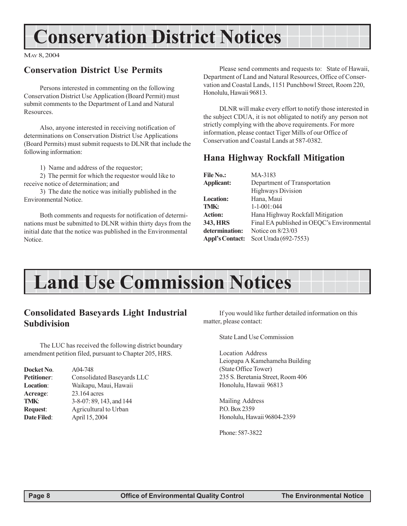# **Conservation District Notices**

MAY 8, 2004

### **Conservation District Use Permits**

Persons interested in commenting on the following Conservation District Use Application (Board Permit) must submit comments to the Department of Land and Natural Resources.

Also, anyone interested in receiving notification of determinations on Conservation District Use Applications (Board Permits) must submit requests to DLNR that include the following information:

1) Name and address of the requestor;

2) The permit for which the requestor would like to receive notice of determination; and

3) The date the notice was initially published in the Environmental Notice.

Both comments and requests for notification of determinations must be submitted to DLNR within thirty days from the initial date that the notice was published in the Environmental Notice.

Please send comments and requests to: State of Hawaii, Department of Land and Natural Resources, Office of Conservation and Coastal Lands, 1151 Punchbowl Street, Room 220, Honolulu, Hawaii 96813.

DLNR will make every effort to notify those interested in the subject CDUA, it is not obligated to notify any person not strictly complying with the above requirements. For more information, please contact Tiger Mills of our Office of Conservation and Coastal Lands at 587-0382.

### **Hana Highway Rockfall Mitigation**

| <b>File No.:</b>       | MA-3183                                    |
|------------------------|--------------------------------------------|
| <b>Applicant:</b>      | Department of Transportation               |
|                        | <b>Highways Division</b>                   |
| <b>Location:</b>       | Hana, Maui                                 |
| TMK:                   | $1 - 1 - 001$ : 044                        |
| <b>Action:</b>         | Hana Highway Rockfall Mitigation           |
| 343, HRS               | Final EA published in OEQC's Environmental |
| determination:         | Notice on 8/23/03                          |
| <b>Appl's Contact:</b> | Scot Urada (692-7553)                      |
|                        |                                            |

# **Land Use Commission Notices**

#### **Consolidated Baseyards Light Industrial Subdivision**

The LUC has received the following district boundary amendment petition filed, pursuant to Chapter 205, HRS.

| Docket No.         | A04-748                    |
|--------------------|----------------------------|
| <b>Petitioner:</b> | Consolidated Baseyards LLC |
| Location:          | Waikapu, Maui, Hawaii      |
| Acreage:           | 23.164 acres               |
| TMK:               | 3-8-07: 89, 143, and 144   |
| <b>Request:</b>    | Agricultural to Urban      |
| <b>Date Filed:</b> | April 15, 2004             |

If you would like further detailed information on this matter, please contact:

State Land Use Commission

Location Address Leiopapa A Kamehameha Building (State Office Tower) 235 S. Beretania Street, Room 406 Honolulu, Hawaii 96813

Mailing Address P.O. Box 2359 Honolulu, Hawaii 96804-2359

Phone: 587-3822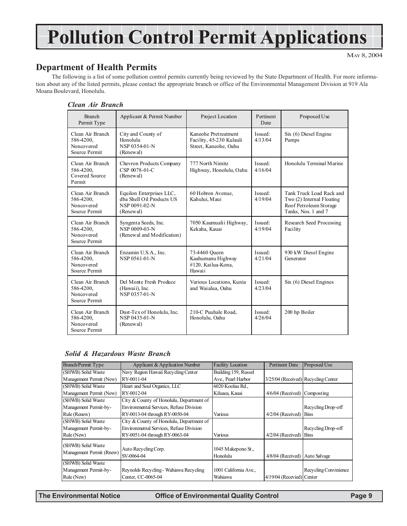# **Pollution Control Permit Applications**

MAY 8, 2004

### **Department of Health Permits**

The following is a list of some pollution control permits currently being reviewed by the State Department of Health. For more information about any of the listed permits, please contact the appropriate branch or office of the Environmental Management Division at 919 Ala Moana Boulevard, Honolulu.

#### *Clean Air Branch*

| <b>Branch</b><br>Permit Type                                 | Applicant & Permit Number                                                           | Project Location                                                          | Pertinent<br>Date  | Proposed Use                                                                                           |
|--------------------------------------------------------------|-------------------------------------------------------------------------------------|---------------------------------------------------------------------------|--------------------|--------------------------------------------------------------------------------------------------------|
| Clean Air Branch<br>586-4200,<br>Noncovered<br>Source Permit | City and County of<br>Honolulu<br>NSP 0354-01-N<br>(Renewal)                        | Kaneohe Pretreatment<br>Facility, 45-230 Kulauli<br>Street, Kaneohe, Oahu | Issued:<br>4/13/04 | Six (6) Diesel Engine<br>Pumps                                                                         |
| Clean Air Branch<br>586-4200,<br>Covered Source<br>Permit    | Chevron Products Company<br>CSP 0078-01-C<br>(Renewal)                              | 777 North Nimitz<br>Highway, Honolulu, Oahu                               | Issued:<br>4/16/04 | Honolulu Terminal Marine                                                                               |
| Clean Air Branch<br>586-4200,<br>Noncovered<br>Source Permit | Equilon Enterprises LLC,<br>dba Shell Oil Products US<br>NSP 0091-02-N<br>(Renewal) | 60 Hobron Avenue,<br>Kahului, Maui                                        | Issued:<br>4/19/04 | Tank Truck Load Rack and<br>Two (2) Internal Floating<br>Roof Petroleum Storage<br>Tanks, Nos. 1 and 7 |
| Clean Air Branch<br>586-4200,<br>Noncovered<br>Source Permit | Syngenta Seeds, Inc.<br>NSP 0009-03-N<br>(Renewal and Modification)                 | 7050 Kaumualii Highway,<br>Kekaha, Kauai                                  | Issued:<br>4/19/04 | Research Seed Processing<br>Facility                                                                   |
| Clean Air Branch<br>586-4200,<br>Noncovered<br>Source Permit | Enzamin U.S.A., Inc.<br>NSP 0561-01-N                                               | 73-4460 Queen<br>Kaahumanu Highway<br>#120, Kailua-Kona,<br>Hawaii        | Issued:<br>4/21/04 | 930 kW Diesel Engine<br>Generator                                                                      |
| Clean Air Branch<br>586-4200,<br>Noncovered<br>Source Permit | Del Monte Fresh Produce<br>(Hawaii), Inc.<br>NSP 0357-01-N                          | Various Locations, Kunia<br>and Waialua, Oahu                             | Issued:<br>4/23/04 | Six (6) Diesel Engines                                                                                 |
| Clean Air Branch<br>586-4200,<br>Noncovered<br>Source Permit | Dust-Tex of Honolulu, Inc.<br>NSP 0435-01-N<br>(Renewal)                            | 210-C Puuhale Road,<br>Honolulu, Oahu                                     | Issued:<br>4/26/04 | 200 hp Boiler                                                                                          |

#### *Solid & Hazardous Waste Branch*

| Branch/Permit Type                             | Applicant & Application Number           | <b>Facility Location</b>       | <b>Pertinent Date</b>               | Proposed Use          |
|------------------------------------------------|------------------------------------------|--------------------------------|-------------------------------------|-----------------------|
| (SHWB) Solid Waste                             | Navy Region Hawaii Recycling Center      | Building 159, Russel           |                                     |                       |
| Management Permit (New)                        | RY-0011-04                               | Ave., Pearl Harbor             | 3/25/04 (Received) Recycling Center |                       |
| (SHWB) Solid Waste                             | Heart and Soul Organics, LLC             | 6020 Koolau Rd.,               |                                     |                       |
| Management Permit (New)                        | RY-0012-04                               | Kiluaea, Kauai                 | 4/6/04 (Received)                   | Composting            |
| (SHWB) Solid Waste                             | City & County of Honolulu, Department of |                                |                                     |                       |
| Management Permit-by-                          | Environmental Services, Refuse Division  |                                |                                     | Recycling Drop-off    |
| Rule (Renew)                                   | RY-0013-04 through RY-0050-04            | Various                        | $4/2/04$ (Received)                 | <b>Bins</b>           |
| (SHWB) Solid Waste                             | City & County of Honolulu, Department of |                                |                                     |                       |
| Management Permit-by-                          | Environmental Services, Refuse Division  |                                |                                     | Recycling Drop-off    |
| Rule (New)                                     | RY-0051-04 through RY-0063-04            | Various                        | $4/2/04$ (Received)                 | <b>Bins</b>           |
| (SHWB) Solid Waste<br>Management Permit (Rnew) | Auto Recycling Corp.<br>SV-0064-04       | 1045 Makepono St.,<br>Honolulu | 4/8/04 (Received)                   | Auto Salvage          |
| (SHWB) Solid Waste                             |                                          |                                |                                     |                       |
| Management Permit-by-                          | Reynolds Recycling - Wahiawa Recycling   | 1001 California Ave.,          |                                     | Recycling Convinience |
| Rule (New)                                     | Center, CC-0065-04                       | Wahiawa                        | 4/19/04 (Recevied) Center           |                       |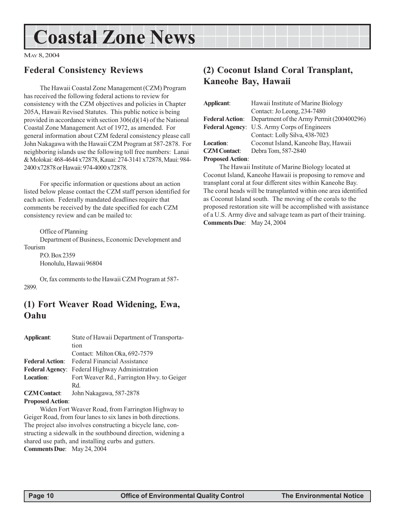# **Coastal Zone News**

MAY 8, 2004

### **Federal Consistency Reviews**

The Hawaii Coastal Zone Management (CZM) Program has received the following federal actions to review for consistency with the CZM objectives and policies in Chapter 205A, Hawaii Revised Statutes. This public notice is being provided in accordance with section 306(d)(14) of the National Coastal Zone Management Act of 1972, as amended. For general information about CZM federal consistency please call John Nakagawa with the Hawaii CZM Program at 587-2878. For neighboring islands use the following toll free numbers: Lanai & Molokai: 468-4644 x72878, Kauai: 274-3141 x72878, Maui: 984- 2400 x72878 or Hawaii: 974-4000 x72878.

For specific information or questions about an action listed below please contact the CZM staff person identified for each action. Federally mandated deadlines require that comments be received by the date specified for each CZM consistency review and can be mailed to:

Office of Planning

Department of Business, Economic Development and Tourism

P.O. Box 2359 Honolulu, Hawaii 96804

Or, fax comments to the Hawaii CZM Program at 587- 2899.

### **(1) Fort Weaver Road Widening, Ewa, Oahu**

| Applicant:              | State of Hawaii Department of Transporta-             |
|-------------------------|-------------------------------------------------------|
|                         | tion                                                  |
|                         | Contact: Milton Oka, 692-7579                         |
| <b>Federal Action:</b>  | <b>Federal Financial Assistance</b>                   |
|                         | <b>Federal Agency:</b> Federal Highway Administration |
| <b>Location:</b>        | Fort Weaver Rd., Farrington Hwy. to Geiger            |
|                         | Rd.                                                   |
| <b>CZM Contact:</b>     | John Nakagawa, 587-2878                               |
| <b>Proposed Action:</b> |                                                       |

Widen Fort Weaver Road, from Farrington Highway to Geiger Road, from four lanes to six lanes in both directions. The project also involves constructing a bicycle lane, constructing a sidewalk in the southbound direction, widening a shared use path, and installing curbs and gutters. **Comments Due**: May 24, 2004

### **(2) Coconut Island Coral Transplant, Kaneohe Bay, Hawaii**

| Applicant:             | Hawaii Institute of Marine Biology           |
|------------------------|----------------------------------------------|
|                        | Contact: Jo Leong, 234-7480                  |
| <b>Federal Action:</b> | Department of the Army Permit (200400296)    |
|                        | Federal Agency: U.S. Army Corps of Engineers |
|                        | Contact: Lolly Silva, 438-7023               |
| <b>Location:</b>       | Coconut Island, Kaneohe Bay, Hawaii          |
| <b>CZM</b> Contact:    | Debra Tom, 587-2840                          |
| $Denomod$ Action       |                                              |

#### **Proposed Action**:

The Hawaii Institute of Marine Biology located at Coconut Island, Kaneohe Hawaii is proposing to remove and transplant coral at four different sites within Kaneohe Bay. The coral heads will be transplanted within one area identified as Coconut Island south. The moving of the corals to the proposed restoration site will be accomplished with assistance of a U.S. Army dive and salvage team as part of their training. **Comments Due**: May 24, 2004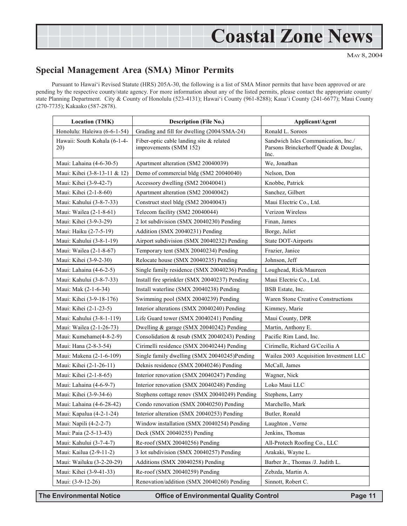# **Coastal Zone News**

MAY 8, 2004

### **Special Management Area (SMA) Minor Permits**

Pursuant to Hawai'i Revised Statute (HRS) 205A-30, the following is a list of SMA Minor permits that have been approved or are pending by the respective county/state agency. For more information about any of the listed permits, please contact the appropriate county/ state Planning Department. City & County of Honolulu (523-4131); Hawai'i County (961-8288); Kaua'i County (241-6677); Maui County (270-7735); Kakaako (587-2878).

| <b>Location (TMK)</b>               | <b>Description (File No.)</b>                                      | Applicant/Agent                                                                      |
|-------------------------------------|--------------------------------------------------------------------|--------------------------------------------------------------------------------------|
| Honolulu: Haleiwa (6-6-1-54)        | Grading and fill for dwelling (2004/SMA-24)                        | Ronald L. Soroos                                                                     |
| Hawaii: South Kohala (6-1-4-<br>20) | Fiber-optic cable landing site & related<br>improvements (SMM 152) | Sandwich Isles Communication, Inc./<br>Parsons Brinckerhoff Quade & Douglas,<br>Inc. |
| Maui: Lahaina (4-6-30-5)            | Apartment alteration (SM2 20040039)                                | We, Jonathan                                                                         |
| Maui: Kihei (3-8-13-11 & 12)        | Demo of commercial bldg (SM2 20040040)                             | Nelson, Don                                                                          |
| Maui: Kihei (3-9-42-7)              | Accessory dwelling (SM2 20040041)                                  | Knobbe, Patrick                                                                      |
| Maui: Kihei (2-1-8-60)              | Apartment alteration (SM2 20040042)                                | Sanchez, Gilbert                                                                     |
| Maui: Kahului (3-8-7-33)            | Construct steel bldg (SM2 20040043)                                | Maui Electric Co., Ltd.                                                              |
| Maui: Wailea (2-1-8-61)             | Telecom facility (SM2 20040044)                                    | Verizon Wireless                                                                     |
| Maui: Kihei (3-9-3-29)              | 2 lot subdivision (SMX 20040230) Pending                           | Finan, James                                                                         |
| Maui: Haiku (2-7-5-19)              | Addition (SMX 20040231) Pending                                    | Borge, Juliet                                                                        |
| Maui: Kahului (3-8-1-19)            | Airport subdivision (SMX 20040232) Pending                         | State DOT-Airports                                                                   |
| Maui: Wailea (2-1-8-67)             | Temporary tent (SMX 20040234) Pending                              | Frazier, Janice                                                                      |
| Maui: Kihei (3-9-2-30)              | Relocate house (SMX 20040235) Pending                              | Johnson, Jeff                                                                        |
| Maui: Lahaina (4-6-2-5)             | Single family residence (SMX 20040236) Pending                     | Loughead, Rick/Maureen                                                               |
| Maui: Kahului (3-8-7-33)            | Install fire sprinkler (SMX 20040237) Pending                      | Maui Electric Co., Ltd.                                                              |
| Maui: Mak (2-1-6-34)                | Install waterline (SMX 20040238) Pending                           | BSB Estate, Inc.                                                                     |
| Maui: Kihei (3-9-18-176)            | Swimming pool (SMX 20040239) Pending                               | Waren Stone Creative Constructions                                                   |
| Maui: Kihei (2-1-23-5)              | Interior alterations (SMX 20040240) Pending                        | Kimmey, Marie                                                                        |
| Maui: Kahului (3-8-1-119)           | Life Guard tower (SMX 20040241) Pending                            | Maui County, DPR                                                                     |
| Maui: Wailea (2-1-26-73)            | Dwelling & garage (SMX 20040242) Pending                           | Martin, Anthony E.                                                                   |
| Maui: Kumehame(4-8-2-9)             | Consolidation & resub (SMX 20040243) Pending                       | Pacific Rim Land, Inc.                                                               |
| Maui: Hana (2-8-3-54)               | Cirimelli residence (SMX 20040244) Pending                         | Cirimelle, Richard G/Cecilia A                                                       |
| Maui: Makena (2-1-6-109)            | Single family dwelling (SMX 20040245)Pending                       | Wailea 2003 Acquisition Investment LLC                                               |
| Maui: Kihei (2-1-26-11)             | Deknis residence (SMX 20040246) Pending                            | McCall, James                                                                        |
| Maui: Kihei (2-1-8-65)              | Interior renovation (SMX 20040247) Pending                         | Wagner, Nick                                                                         |
| Maui: Lahaina (4-6-9-7)             | Interior renovation (SMX 20040248) Pending                         | Loko Maui LLC                                                                        |
| Maui: Kihei (3-9-34-6)              | Stephens cottage renov (SMX 20040249) Pending                      | Stephens, Larry                                                                      |
| Maui: Lahaina (4-6-28-42)           | Condo renovation (SMX 20040250) Pending                            | Marchello, Mark                                                                      |
| Maui: Kapalua (4-2-1-24)            | Interior alteration (SMX 20040253) Pending                         | Butler, Ronald                                                                       |
| Maui: Napili (4-2-2-7)              | Window installation (SMX 20040254) Pending                         | Laughton, Verne                                                                      |
| Maui: Paia (2-5-13-43)              | Deck (SMX 20040255) Pending                                        | Jenkins, Thomas                                                                      |
| Maui: Kahului (3-7-4-7)             | Re-roof (SMX 20040256) Pending                                     | All-Protech Roofing Co., LLC                                                         |
| Maui: Kailua (2-9-11-2)             | 3 lot subdivision (SMX 20040257) Pending                           | Arakaki, Wayne L.                                                                    |
| Maui: Wailuku (3-2-20-29)           | Additions (SMX 20040258) Pending                                   | Barber Jr., Thomas /J. Judith L.                                                     |
| Maui: Kihei (3-9-41-33)             | Re-roof (SMX 20040259) Pending                                     | Zebzda, Martin A.                                                                    |
| Maui: (3-9-12-26)                   | Renovation/addition (SMX 20040260) Pending                         | Sinnott, Robert C.                                                                   |

**The Environmental Notice Office of Environmental Quality Control Page 11**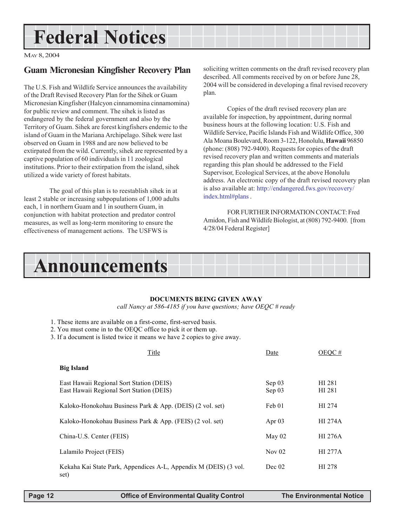# **Federal Notices**

MAY 8, 2004

### **Guam Micronesian Kingfisher Recovery Plan**

The U.S. Fish and Wildlife Service announces the availability of the Draft Revised Recovery Plan for the Sihek or Guam Micronesian Kingfisher (Halcyon cinnamomina cinnamomina) for public review and comment. The sihek is listed as endangered by the federal government and also by the Territory of Guam. Sihek are forest kingfishers endemic to the island of Guam in the Mariana Archipelago. Sihek were last observed on Guam in 1988 and are now believed to be extirpated from the wild. Currently, sihek are represented by a captive population of 60 individuals in 11 zoological institutions. Prior to their extirpation from the island, sihek utilized a wide variety of forest habitats.

 The goal of this plan is to reestablish sihek in at least 2 stable or increasing subpopulations of 1,000 adults each, 1 in northern Guam and 1 in southern Guam, in conjunction with habitat protection and predator control measures, as well as long-term monitoring to ensure the effectiveness of management actions. The USFWS is

soliciting written comments on the draft revised recovery plan described. All comments received by on or before June 28, 2004 will be considered in developing a final revised recovery plan.

Copies of the draft revised recovery plan are available for inspection, by appointment, during normal business hours at the following location: U.S. Fish and Wildlife Service, Pacific Islands Fish and Wildlife Office, 300 Ala Moana Boulevard, Room 3-122, Honolulu, **Hawaii** 96850 (phone: (808) 792-9400). Requests for copies of the draft revised recovery plan and written comments and materials regarding this plan should be addressed to the Field Supervisor, Ecological Services, at the above Honolulu address. An electronic copy of the draft revised recovery plan is also available at: http://endangered.fws.gov/recovery/ index.html#plans .

FOR FURTHER INFORMATION CONTACT: Fred Amidon, Fish and Wildlife Biologist, at (808) 792-9400. [from 4/28/04 Federal Register]



#### **DOCUMENTS BEING GIVEN AWAY**

*call Nancy at 586-4185 if you have questions; have OEQC # ready*

- 1. These items are available on a first-come, first-served basis.
- 2. You must come in to the OEQC office to pick it or them up.
- 3. If a document is listed twice it means we have 2 copies to give away.

| Title                                                                                | Date             | OEOC #           |
|--------------------------------------------------------------------------------------|------------------|------------------|
| <b>Big Island</b>                                                                    |                  |                  |
| East Hawaii Regional Sort Station (DEIS)<br>East Hawaii Regional Sort Station (DEIS) | Sep 03<br>Sep 03 | HI 281<br>HI 281 |
| Kaloko-Honokohau Business Park & App. (DEIS) (2 vol. set)                            | Feb 01           | HI 274           |
| Kaloko-Honokohau Business Park & App. (FEIS) (2 vol. set)                            | Apr $03$         | <b>HI 274A</b>   |
| China-U.S. Center (FEIS)                                                             | May $02$         | <b>HI 276A</b>   |
| Lalamilo Project (FEIS)                                                              | Nov $02$         | <b>HI 277A</b>   |
| Kekaha Kai State Park, Appendices A-L, Appendix M (DEIS) (3 vol.<br>set)             | Dec 02           | HI 278           |